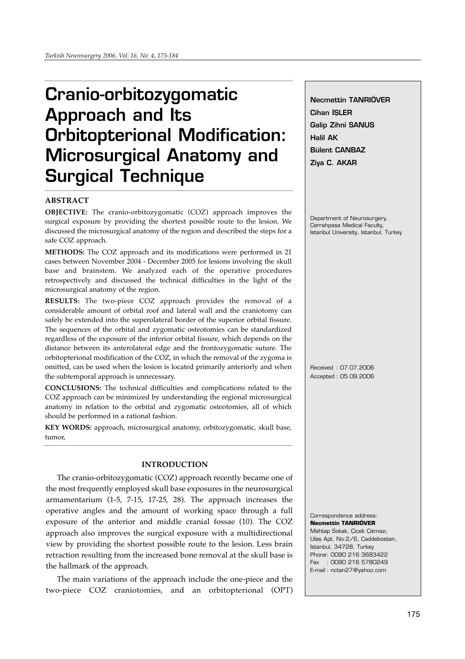# **Cranio-orbitozygomatic Approach and Its Orbitopterional Modification: Microsurgical Anatomy and Surgical Technique**

# **ABSTRACT**

**OBJECTIVE:** The cranio-orbitozygomatic (COZ) approach improves the surgical exposure by providing the shortest possible route to the lesion. We discussed the microsurgical anatomy of the region and described the steps for a safe COZ approach.

**METHODS:** The COZ approach and its modifications were performed in 21 cases between November 2004 - December 2005 for lesions involving the skull base and brainstem. We analyzed each of the operative procedures retrospectively and discussed the technical difficulties in the light of the microsurgical anatomy of the region.

**RESULTS:** The two-piece COZ approach provides the removal of a considerable amount of orbital roof and lateral wall and the craniotomy can safely be extended into the superolateral border of the superior orbital fissure. The sequences of the orbital and zygomatic osteotomies can be standardized regardless of the exposure of the inferior orbital fissure, which depends on the distance between its anterolateral edge and the frontozygomatic suture. The orbitopterional modification of the COZ, in which the removal of the zygoma is omitted, can be used when the lesion is located primarily anteriorly and when the subtemporal approach is unnecessary.

**CONCLUSIONS:** The technical difficulties and complications related to the COZ approach can be minimized by understanding the regional microsurgical anatomy in relation to the orbital and zygomatic osteotomies, all of which should be performed in a rational fashion.

**KEY WORDS:** approach, microsurgical anatomy, orbitozygomatic, skull base, tumor,

# **INTRODUCTION**

The cranio-orbitozygomatic (COZ) approach recently became one of the most frequently employed skull base exposures in the neurosurgical armamentarium (1-5, 7-15, 17-25, 28). The approach increases the operative angles and the amount of working space through a full exposure of the anterior and middle cranial fossae (10). The COZ approach also improves the surgical exposure with a multidirectional view by providing the shortest possible route to the lesion. Less brain retraction resulting from the increased bone removal at the skull base is the hallmark of the approach.

The main variations of the approach include the one-piece and the two-piece COZ craniotomies, and an orbitopterional (OPT) **Necmettin TANRIÖVER Cihan** *İ***SLER Galip Zihni SANUS Halil AK Bülent CANBAZ Ziya C. AKAR**

Department of Neurosurgery, Cerrahpasa Medical Faculty, Istanbul University, Istanbul, Turkey

Received : 07.07.2006 Accepted : 05.09.2006

Correspondence address: **Necmettin TANRIÖVER** Mehtap Sokak, Çiçek Çıkmazı, Ulas Apt. No:2/6, Caddebostan, İstanbul, 34728, Turkey Phone: 0090 216 3683422 Fax : 0090 216 5780249 E-mail : nctan27@yahoo.com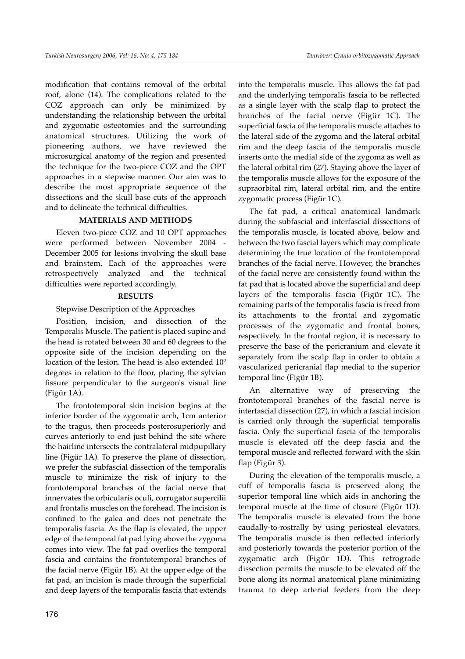modification that contains removal of the orbital roof, alone (14). The complications related to the COZ approach can only be minimized by understanding the relationship between the orbital and zygomatic osteotomies and the surrounding anatomical structures. Utilizing the work of pioneering authors, we have reviewed the microsurgical anatomy of the region and presented the technique for the two-piece COZ and the OPT approaches in a stepwise manner. Our aim was to describe the most appropriate sequence of the dissections and the skull base cuts of the approach and to delineate the technical difficulties.

## **MATERIALS AND METHODS**

Eleven two-piece COZ and 10 OPT approaches were performed between November 2004 - December 2005 for lesions involving the skull base and brainstem. Each of the approaches were retrospectively analyzed and the technical difficulties were reported accordingly.

### **RESULTS**

#### Stepwise Description of the Approaches

Position, incision, and dissection of the Temporalis Muscle. The patient is placed supine and the head is rotated between 30 and 60 degrees to the opposite side of the incision depending on the location of the lesion. The head is also extended 10º degrees in relation to the floor, placing the sylvian fissure perpendicular to the surgeon's visual line (Figür 1A).

The frontotemporal skin incision begins at the inferior border of the zygomatic arch, 1cm anterior to the tragus, then proceeds posterosuperiorly and curves anteriorly to end just behind the site where the hairline intersects the contralateral midpupillary line (Figür 1A). To preserve the plane of dissection, we prefer the subfascial dissection of the temporalis muscle to minimize the risk of injury to the frontotemporal branches of the facial nerve that innervates the orbicularis oculi, corrugator supercilii and frontalis muscles on the forehead. The incision is confined to the galea and does not penetrate the temporalis fascia. As the flap is elevated, the upper edge of the temporal fat pad lying above the zygoma comes into view. The fat pad overlies the temporal fascia and contains the frontotemporal branches of the facial nerve (Figür 1B). At the upper edge of the fat pad, an incision is made through the superficial and deep layers of the temporalis fascia that extends

into the temporalis muscle. This allows the fat pad and the underlying temporalis fascia to be reflected as a single layer with the scalp flap to protect the branches of the facial nerve (Figür 1C). The superficial fascia of the temporalis muscle attaches to the lateral side of the zygoma and the lateral orbital rim and the deep fascia of the temporalis muscle inserts onto the medial side of the zygoma as well as the lateral orbital rim (27). Staying above the layer of the temporalis muscle allows for the exposure of the supraorbital rim, lateral orbital rim, and the entire zygomatic process (Figür 1C).

The fat pad, a critical anatomical landmark during the subfascial and interfascial dissections of the temporalis muscle, is located above, below and between the two fascial layers which may complicate determining the true location of the frontotemporal branches of the facial nerve. However, the branches of the facial nerve are consistently found within the fat pad that is located above the superficial and deep layers of the temporalis fascia (Figür 1C). The remaining parts of the temporalis fascia is freed from its attachments to the frontal and zygomatic processes of the zygomatic and frontal bones, respectively. In the frontal region, it is necessary to preserve the base of the pericranium and elevate it separately from the scalp flap in order to obtain a vascularized pericranial flap medial to the superior temporal line (Figür 1B).

An alternative way of preserving the frontotemporal branches of the fascial nerve is interfascial dissection (27), in which a fascial incision is carried only through the superficial temporalis fascia. Only the superficial fascia of the temporalis muscle is elevated off the deep fascia and the temporal muscle and reflected forward with the skin flap (Figür 3).

During the elevation of the temporalis muscle, a cuff of temporalis fascia is preserved along the superior temporal line which aids in anchoring the temporal muscle at the time of closure (Figür 1D). The temporalis muscle is elevated from the bone caudally-to-rostrally by using periosteal elevators. The temporalis muscle is then reflected inferiorly and posteriorly towards the posterior portion of the zygomatic arch (Figür 1D). This retrograde dissection permits the muscle to be elevated off the bone along its normal anatomical plane minimizing trauma to deep arterial feeders from the deep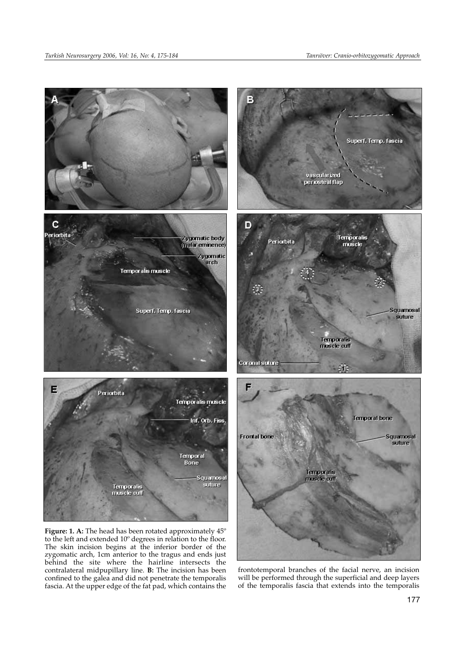contralateral midpupillary line. **B:** The incision has been



frontotemporal branches of the facial nerve, an incision will be performed through the superficial and deep layers of the temporalis fascia that extends into the temporalis confined to the galea and did not penetrate the temporalis fascia. At the upper edge of the fat pad, which contains the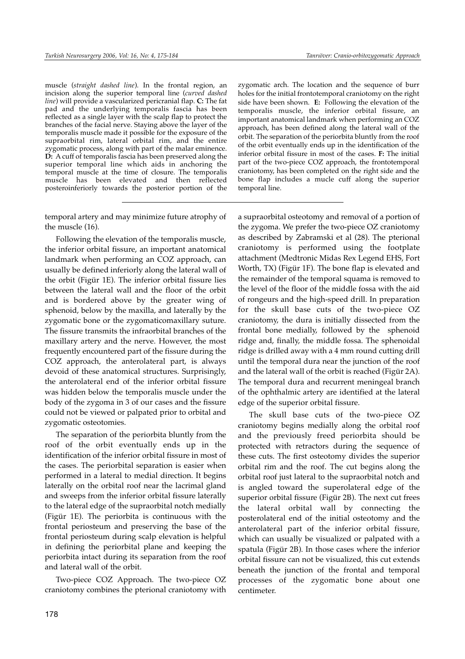muscle (*straight dashed line*). In the frontal region, an incision along the superior temporal line (*curved dashed line*) will provide a vascularized pericranial flap. **C:** The fat pad and the underlying temporalis fascia has been reflected as a single layer with the scalp flap to protect the branches of the facial nerve. Staying above the layer of the temporalis muscle made it possible for the exposure of the supraorbital rim, lateral orbital rim, and the entire zygomatic process, along with part of the malar eminence. **D:** A cuff of temporalis fascia has been preserved along the superior temporal line which aids in anchoring the temporal muscle at the time of closure. The temporalis muscle has been elevated and then reflected posteroinferiorly towards the posterior portion of the

temporal artery and may minimize future atrophy of the muscle (16).

Following the elevation of the temporalis muscle, the inferior orbital fissure, an important anatomical landmark when performing an COZ approach, can usually be defined inferiorly along the lateral wall of the orbit (Figür 1E). The inferior orbital fissure lies between the lateral wall and the floor of the orbit and is bordered above by the greater wing of sphenoid, below by the maxilla, and laterally by the zygomatic bone or the zygomaticomaxillary suture. The fissure transmits the infraorbital branches of the maxillary artery and the nerve. However, the most frequently encountered part of the fissure during the COZ approach, the anterolateral part, is always devoid of these anatomical structures. Surprisingly, the anterolateral end of the inferior orbital fissure was hidden below the temporalis muscle under the body of the zygoma in 3 of our cases and the fissure could not be viewed or palpated prior to orbital and zygomatic osteotomies.

The separation of the periorbita bluntly from the roof of the orbit eventually ends up in the identification of the inferior orbital fissure in most of the cases. The periorbital separation is easier when performed in a lateral to medial direction. It begins laterally on the orbital roof near the lacrimal gland and sweeps from the inferior orbital fissure laterally to the lateral edge of the supraorbital notch medially (Figür 1E). The periorbita is continuous with the frontal periosteum and preserving the base of the frontal periosteum during scalp elevation is helpful in defining the periorbital plane and keeping the periorbita intact during its separation from the roof and lateral wall of the orbit.

Two-piece COZ Approach. The two-piece OZ craniotomy combines the pterional craniotomy with zygomatic arch. The location and the sequence of burr holes for the initial frontotemporal craniotomy on the right side have been shown. **E:** Following the elevation of the temporalis muscle, the inferior orbital fissure, an important anatomical landmark when performing an COZ approach, has been defined along the lateral wall of the orbit. The separation of the periorbita bluntly from the roof of the orbit eventually ends up in the identification of the inferior orbital fissure in most of the cases. **F:** The initial part of the two-piece COZ approach, the frontotemporal craniotomy, has been completed on the right side and the bone flap includes a mucle cuff along the superior temporal line.

a supraorbital osteotomy and removal of a portion of the zygoma. We prefer the two-piece OZ craniotomy as described by Zabramski et al (28). The pterional craniotomy is performed using the footplate attachment (Medtronic Midas Rex Legend EHS, Fort Worth, TX) (Figür 1F). The bone flap is elevated and the remainder of the temporal squama is removed to the level of the floor of the middle fossa with the aid of rongeurs and the high-speed drill. In preparation for the skull base cuts of the two-piece OZ craniotomy, the dura is initially dissected from the frontal bone medially, followed by the sphenoid ridge and, finally, the middle fossa. The sphenoidal ridge is drilled away with a 4 mm round cutting drill until the temporal dura near the junction of the roof and the lateral wall of the orbit is reached (Figür 2A). The temporal dura and recurrent meningeal branch of the ophthalmic artery are identified at the lateral edge of the superior orbital fissure.

The skull base cuts of the two-piece OZ craniotomy begins medially along the orbital roof and the previously freed periorbita should be protected with retractors during the sequence of these cuts. The first osteotomy divides the superior orbital rim and the roof. The cut begins along the orbital roof just lateral to the supraorbital notch and is angled toward the superolateral edge of the superior orbital fissure (Figür 2B). The next cut frees the lateral orbital wall by connecting the posterolateral end of the initial osteotomy and the anterolateral part of the inferior orbital fissure, which can usually be visualized or palpated with a spatula (Figür 2B). In those cases where the inferior orbital fissure can not be visualized, this cut extends beneath the junction of the frontal and temporal processes of the zygomatic bone about one centimeter.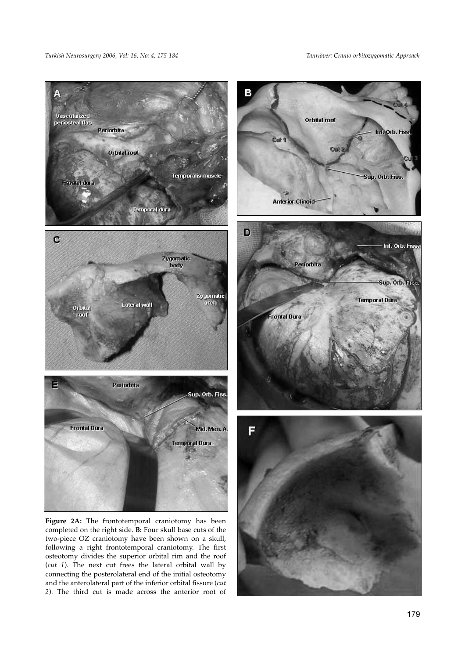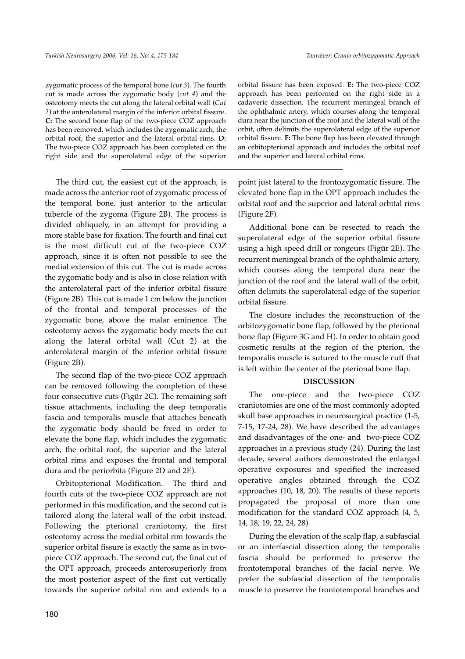zygomatic process of the temporal bone (*cut 3*). The fourth cut is made across the zygomatic body (*cut 4*) and the osteotomy meets the cut along the lateral orbital wall (*Cut 2*) at the anterolateral margin of the inferior orbital fissure. **C:** The second bone flap of the two-piece COZ approach has been removed, which includes the zygomatic arch, the orbital roof, the superior and the lateral orbital rims. **D:** The two-piece COZ approach has been completed on the right side and the superolateral edge of the superior

The third cut, the easiest cut of the approach, is made across the anterior root of zygomatic process of the temporal bone, just anterior to the articular tubercle of the zygoma (Figure 2B). The process is divided obliquely, in an attempt for providing a more stable base for fixation. The fourth and final cut is the most difficult cut of the two-piece COZ approach, since it is often not possible to see the medial extension of this cut. The cut is made across the zygomatic body and is also in close relation with the anterolateral part of the inferior orbital fissure (Figure 2B). This cut is made 1 cm below the junction of the frontal and temporal processes of the zygomatic bone, above the malar eminence. The osteotomy across the zygomatic body meets the cut along the lateral orbital wall (Cut 2) at the anterolateral margin of the inferior orbital fissure (Figure 2B).

The second flap of the two-piece COZ approach can be removed following the completion of these four consecutive cuts (Figür 2C). The remaining soft tissue attachments, including the deep temporalis fascia and temporalis muscle that attaches beneath the zygomatic body should be freed in order to elevate the bone flap, which includes the zygomatic arch, the orbital roof, the superior and the lateral orbital rims and exposes the frontal and temporal dura and the periorbita (Figure 2D and 2E).

Orbitopterional Modification. The third and fourth cuts of the two-piece COZ approach are not performed in this modification, and the second cut is tailored along the lateral wall of the orbit instead. Following the pterional craniotomy, the first osteotomy across the medial orbital rim towards the superior orbital fissure is exactly the same as in twopiece COZ approach. The second cut, the final cut of the OPT approach, proceeds anterosuperiorly from the most posterior aspect of the first cut vertically towards the superior orbital rim and extends to a

orbital fissure has been exposed. **E:** The two-piece COZ approach has been performed on the right side in a cadaveric dissection. The recurrent meningeal branch of the ophthalmic artery, which courses along the temporal dura near the junction of the roof and the lateral wall of the orbit, often delimits the superolateral edge of the superior orbital fissure. **F:** The bone flap has been elevated through an orbitopterional approach and includes the orbital roof and the superior and lateral orbital rims.

point just lateral to the frontozygomatic fissure. The elevated bone flap in the OPT approach includes the orbital roof and the superior and lateral orbital rims (Figure 2F).

Additional bone can be resected to reach the superolateral edge of the superior orbital fissure using a high speed drill or rongeurs (Figür 2E). The recurrent meningeal branch of the ophthalmic artery, which courses along the temporal dura near the junction of the roof and the lateral wall of the orbit, often delimits the superolateral edge of the superior orbital fissure.

The closure includes the reconstruction of the orbitozygomatic bone flap, followed by the pterional bone flap (Figure 3G and H). In order to obtain good cosmetic results at the region of the pterion, the temporalis muscle is sutured to the muscle cuff that is left within the center of the pterional bone flap.

#### **DISCUSSION**

The one-piece and the two-piece COZ craniotomies are one of the most commonly adopted skull base approaches in neurosurgical practice (1-5, 7-15, 17-24, 28). We have described the advantages and disadvantages of the one- and two-piece COZ approaches in a previous study (24). During the last decade, several authors demonstrated the enlarged operative exposures and specified the increased operative angles obtained through the COZ approaches (10, 18, 20). The results of these reports propagated the proposal of more than one modification for the standard COZ approach (4, 5, 14, 18, 19, 22, 24, 28).

During the elevation of the scalp flap, a subfascial or an interfascial dissection along the temporalis fascia should be performed to preserve the frontotemporal branches of the facial nerve. We prefer the subfascial dissection of the temporalis muscle to preserve the frontotemporal branches and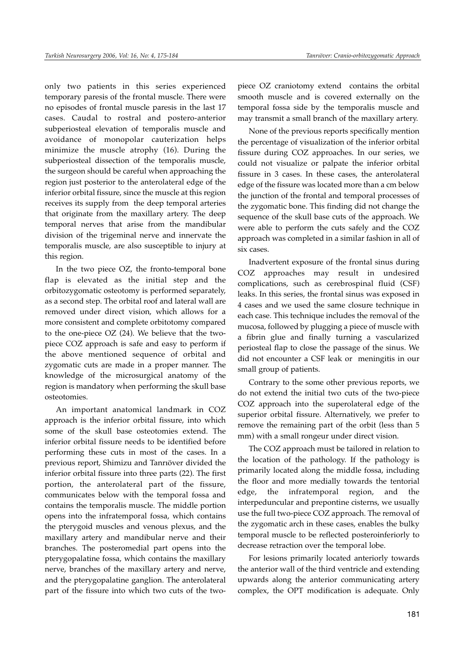only two patients in this series experienced temporary paresis of the frontal muscle. There were no episodes of frontal muscle paresis in the last 17 cases. Caudal to rostral and postero-anterior subperiosteal elevation of temporalis muscle and avoidance of monopolar cauterization helps minimize the muscle atrophy (16). During the subperiosteal dissection of the temporalis muscle, the surgeon should be careful when approaching the region just posterior to the anterolateral edge of the inferior orbital fissure, since the muscle at this region receives its supply from the deep temporal arteries that originate from the maxillary artery. The deep temporal nerves that arise from the mandibular division of the trigeminal nerve and innervate the temporalis muscle, are also susceptible to injury at this region.

In the two piece OZ, the fronto-temporal bone flap is elevated as the initial step and the orbitozygomatic osteotomy is performed separately, as a second step. The orbital roof and lateral wall are removed under direct vision, which allows for a more consistent and complete orbitotomy compared to the one-piece OZ (24). We believe that the twopiece COZ approach is safe and easy to perform if the above mentioned sequence of orbital and zygomatic cuts are made in a proper manner. The knowledge of the microsurgical anatomy of the region is mandatory when performing the skull base osteotomies.

An important anatomical landmark in COZ approach is the inferior orbital fissure, into which some of the skull base osteotomies extend. The inferior orbital fissure needs to be identified before performing these cuts in most of the cases. In a previous report, Shimizu and Tanrıöver divided the inferior orbital fissure into three parts (22). The first portion, the anterolateral part of the fissure, communicates below with the temporal fossa and contains the temporalis muscle. The middle portion opens into the infratemporal fossa, which contains the pterygoid muscles and venous plexus, and the maxillary artery and mandibular nerve and their branches. The posteromedial part opens into the pterygopalatine fossa, which contains the maxillary nerve, branches of the maxillary artery and nerve, and the pterygopalatine ganglion. The anterolateral part of the fissure into which two cuts of the twopiece OZ craniotomy extend contains the orbital smooth muscle and is covered externally on the temporal fossa side by the temporalis muscle and may transmit a small branch of the maxillary artery.

None of the previous reports specifically mention the percentage of visualization of the inferior orbital fissure during COZ approaches. In our series, we could not visualize or palpate the inferior orbital fissure in 3 cases. In these cases, the anterolateral edge of the fissure was located more than a cm below the junction of the frontal and temporal processes of the zygomatic bone. This finding did not change the sequence of the skull base cuts of the approach. We were able to perform the cuts safely and the COZ approach was completed in a similar fashion in all of six cases.

Inadvertent exposure of the frontal sinus during COZ approaches may result in undesired complications, such as cerebrospinal fluid (CSF) leaks. In this series, the frontal sinus was exposed in 4 cases and we used the same closure technique in each case. This technique includes the removal of the mucosa, followed by plugging a piece of muscle with a fibrin glue and finally turning a vascularized periosteal flap to close the passage of the sinus. We did not encounter a CSF leak or meningitis in our small group of patients.

Contrary to the some other previous reports, we do not extend the initial two cuts of the two-piece COZ approach into the superolateral edge of the superior orbital fissure. Alternatively, we prefer to remove the remaining part of the orbit (less than 5 mm) with a small rongeur under direct vision.

The COZ approach must be tailored in relation to the location of the pathology. If the pathology is primarily located along the middle fossa, including the floor and more medially towards the tentorial edge, the infratemporal region, and the interpeduncular and prepontine cisterns, we usually use the full two-piece COZ approach. The removal of the zygomatic arch in these cases, enables the bulky temporal muscle to be reflected posteroinferiorly to decrease retraction over the temporal lobe.

For lesions primarily located anteriorly towards the anterior wall of the third ventricle and extending upwards along the anterior communicating artery complex, the OPT modification is adequate. Only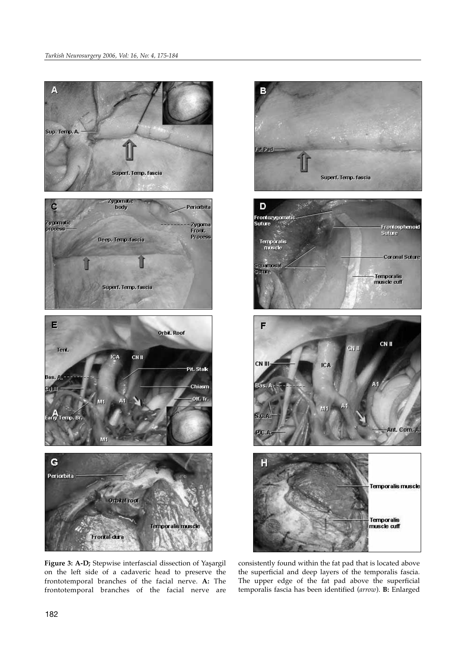

**Figure 3: A-D;** Stepwise interfascial dissection of Yaşargil on the left side of a cadaveric head to preserve the frontotemporal branches of the facial nerve. **A:** The frontotemporal branches of the facial nerve are



consistently found within the fat pad that is located above the superficial and deep layers of the temporalis fascia. The upper edge of the fat pad above the superficial temporalis fascia has been identified (*arrow*). **B:** Enlarged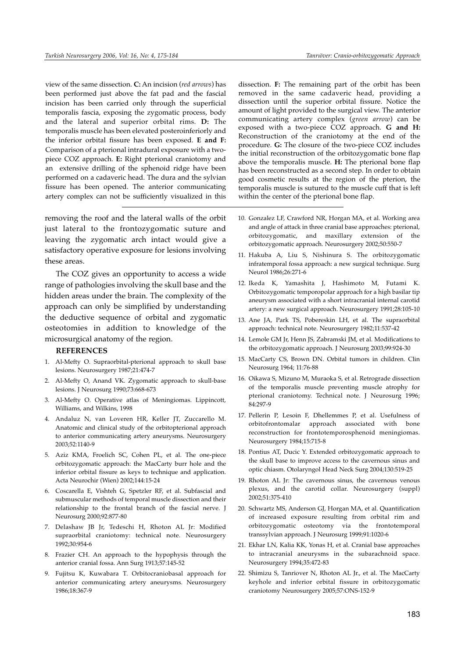view of the same dissection. **C:** An incision (*red arrows*) has been performed just above the fat pad and the fascial incision has been carried only through the superficial temporalis fascia, exposing the zygomatic process, body and the lateral and superior orbital rims. **D:** The temporalis muscle has been elevated posteroinferiorly and the inferior orbital fissure has been exposed. **E and F:** Comparison of a pterional intradural exposure with a twopiece COZ approach. **E:** Right pterional craniotomy and an extensive drilling of the sphenoid ridge have been performed on a cadaveric head. The dura and the sylvian fissure has been opened. The anterior communicating artery complex can not be sufficiently visualized in this

removing the roof and the lateral walls of the orbit just lateral to the frontozygomatic suture and leaving the zygomatic arch intact would give a satisfactory operative exposure for lesions involving these areas.

The COZ gives an opportunity to access a wide range of pathologies involving the skull base and the hidden areas under the brain. The complexity of the approach can only be simplified by understanding the deductive sequence of orbital and zygomatic osteotomies in addition to knowledge of the microsurgical anatomy of the region.

#### **REFERENCES**

- 1. Al-Mefty O. Supraorbital-pterional approach to skull base lesions. Neurosurgery 1987;21:474-7
- 2. Al-Mefty O, Anand VK. Zygomatic approach to skull-base lesions. J Neurosurg 1990;73:668-673
- 3. Al-Mefty O. Operative atlas of Meningiomas. Lippincott, Williams, and Wilkins, 1998
- 4. Andaluz N, van Loveren HR, Keller JT, Zuccarello M. Anatomic and clinical study of the orbitopterional approach to anterior communicating artery aneurysms. Neurosurgery 2003;52:1140-9
- 5. Aziz KMA, Froelich SC, Cohen PL, et al. The one-piece orbitozygomatic approach: the MacCarty burr hole and the inferior orbital fissure as keys to technique and application. Acta Neurochir (Wien) 2002;144:15-24
- 6. Coscarella E, Vishteh G, Spetzler RF, et al. Subfascial and submuscular methods of temporal muscle dissection and their relationship to the frontal branch of the fascial nerve. J Neurosurg 2000;92:877-80
- 7. Delashaw JB Jr, Tedeschi H, Rhoton AL Jr: Modified supraorbital craniotomy: technical note. Neurosurgery 1992;30:954-6
- 8. Frazier CH. An approach to the hypophysis through the anterior cranial fossa. Ann Surg 1913;57:145-52
- 9. Fujitsu K, Kuwabara T. Orbitocraniobasal approach for anterior communicating artery aneurysms. Neurosurgery 1986;18:367-9

dissection. **F:** The remaining part of the orbit has been removed in the same cadaveric head, providing a dissection until the superior orbital fissure. Notice the amount of light provided to the surgical view. The anterior communicating artery complex (*green arrow*) can be exposed with a two-piece COZ approach. **G and H:** Reconstruction of the craniotomy at the end of the procedure. **G:** The closure of the two-piece COZ includes the initial reconstruction of the orbitozygomatic bone flap above the temporalis muscle. **H:** The pterional bone flap has been reconstructed as a second step. In order to obtain good cosmetic results at the region of the pterion, the temporalis muscle is sutured to the muscle cuff that is left within the center of the pterional bone flap.

- 10. Gonzalez LF, Crawford NR, Horgan MA, et al. Working area and angle of attack in three cranial base approaches: pterional, orbitozygomatic, and maxillary extension of the orbitozygomatic approach. Neurosurgery 2002;50:550-7
- 11. Hakuba A, Liu S, Nishinura S. The orbitozygomatic infratemporal fossa approach: a new surgical technique. Surg Neurol 1986;26:271-6
- 12. Ikeda K, Yamashita J, Hashimoto M, Futami K. Orbitozygomatic temporopolar approach for a high basilar tip aneurysm associated with a short intracranial internal carotid artery: a new surgical approach. Neurosurgery 1991;28:105-10
- 13. Ane JA, Park TS, Pobereskin LH, et al. The supraorbital approach: technical note. Neurosurgery 1982;11:537-42
- 14. Lemole GM Jr, Henn JS, Zabramski JM, et al. Modifications to the orbitozygomatic approach. J Neurosurg 2003;99:924-30
- 15. MacCarty CS, Brown DN. Orbital tumors in children. Clin Neurosurg 1964; 11:76-88
- 16. Oikawa S, Mizuno M, Muraoka S, et al. Retrograde dissection of the temporalis muscle preventing muscle atrophy for pterional craniotomy. Technical note. J Neurosurg 1996; 84:297-9
- 17. Pellerin P, Lesoin F, Dhellemmes P, et al. Usefulness of orbitofrontomalar approach associated with bone reconstruction for frontotemporosphenoid meningiomas. Neurosurgery 1984;15:715-8
- 18. Pontius AT, Ducic Y. Extended orbitozygomatic approach to the skull base to improve access to the cavernous sinus and optic chiasm. Otolaryngol Head Neck Surg 2004;130:519-25
- 19. Rhoton AL Jr: The cavernous sinus, the cavernous venous plexus, and the carotid collar. Neurosurgery (suppl) 2002;51:375-410
- 20. Schwartz MS, Anderson GJ, Horgan MA, et al. Quantification of increased exposure resulting from orbital rim and orbitozygomatic osteotomy via the frontotemporal transsylvian approach. J Neurosurg 1999;91:1020-6
- 21. Ekhar LN, Kalia KK, Yonas H, et al. Cranial base approaches to intracranial aneurysms in the subarachnoid space. Neurosurgery 1994;35:472-83
- 22. Shimizu S, Tanriover N, Rhoton AL Jr., et al. The MacCarty keyhole and inferior orbital fissure in orbitozygomatic craniotomy Neurosurgery 2005;57:ONS-152-9